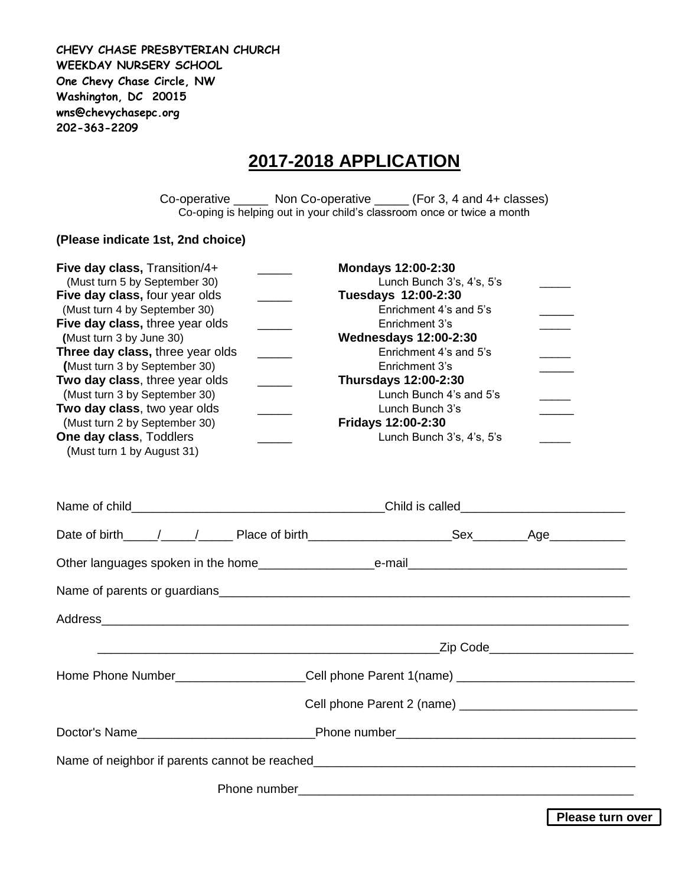**CHEVY CHASE PRESBYTERIAN CHURCH WEEKDAY NURSERY SCHOOL One Chevy Chase Circle, NW Washington, DC 20015 wns@chevychasepc.org 202-363-2209**

## **2017-2018 APPLICATION**

Co-operative \_\_\_\_\_ Non Co-operative \_\_\_\_\_ (For 3, 4 and 4+ classes) Co-oping is helping out in your child's classroom once or twice a month

## **(Please indicate 1st, 2nd choice)**

| Five day class, Transition/4+                                                                 | <b>Mondays 12:00-2:30</b>                     |  |
|-----------------------------------------------------------------------------------------------|-----------------------------------------------|--|
| (Must turn 5 by September 30)                                                                 | Lunch Bunch 3's, 4's, 5's                     |  |
| Five day class, four year olds<br>$\mathcal{L}(\mathcal{L})$<br>(Must turn 4 by September 30) | Tuesdays 12:00-2:30<br>Enrichment 4's and 5's |  |
| Five day class, three year olds<br>$\overline{\phantom{a}}$                                   | Enrichment 3's                                |  |
| (Must turn 3 by June 30)                                                                      | <b>Wednesdays 12:00-2:30</b>                  |  |
| Three day class, three year olds<br>$\mathcal{L}^{\mathcal{L}}$                               | Enrichment 4's and 5's                        |  |
| (Must turn 3 by September 30)                                                                 | Enrichment 3's                                |  |
| Two day class, three year olds                                                                | <b>Thursdays 12:00-2:30</b>                   |  |
| (Must turn 3 by September 30)                                                                 | Lunch Bunch 4's and 5's                       |  |
| Two day class, two year olds                                                                  | Lunch Bunch 3's                               |  |
| (Must turn 2 by September 30)                                                                 | Fridays 12:00-2:30                            |  |
| One day class, Toddlers<br>$\overline{\phantom{a}}$                                           | Lunch Bunch 3's, 4's, 5's                     |  |
| (Must turn 1 by August 31)                                                                    |                                               |  |
|                                                                                               |                                               |  |
|                                                                                               |                                               |  |
|                                                                                               |                                               |  |
|                                                                                               |                                               |  |
|                                                                                               |                                               |  |
| <u> 1989 - Johann John Stein, fransk politik (f. 1989)</u>                                    | _Zip Code_________________________            |  |
|                                                                                               |                                               |  |
|                                                                                               |                                               |  |
|                                                                                               |                                               |  |
|                                                                                               |                                               |  |
|                                                                                               |                                               |  |
|                                                                                               |                                               |  |

**Please turn over**